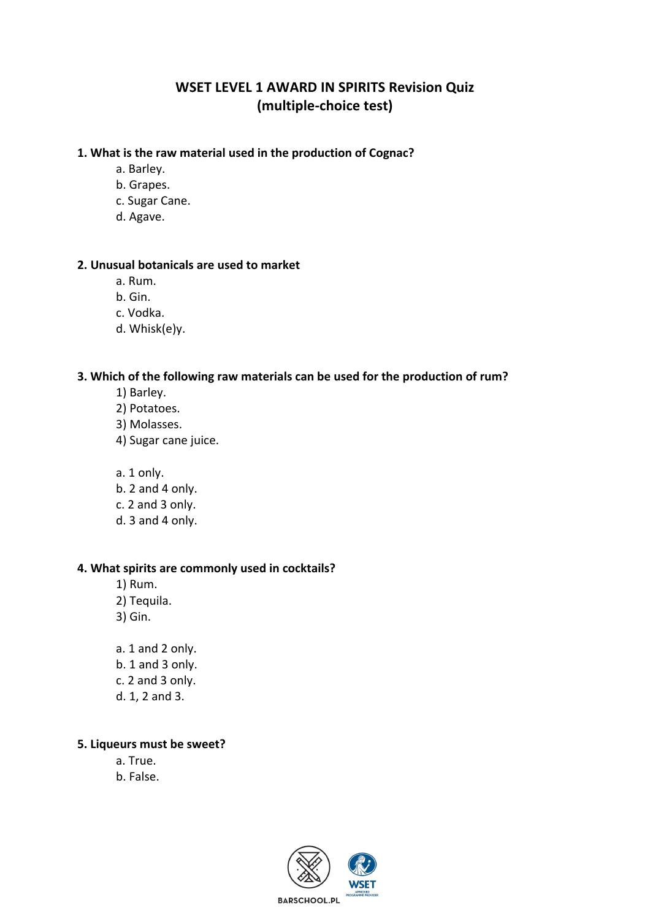# **WSET LEVEL 1 AWARD IN SPIRITS Revision Quiz (multiple-choice test)**

## 1. What is the raw material used in the production of Cognac?

- a. Barley.
- b. Grapes.
- c. Sugar Cane.
- d. Agave.

## **2.** Unusual botanicals are used to market

- a. Rum.
- b. Gin.
- c. Vodka.
- d. Whisk(e)y.

#### **3.** Which of the following raw materials can be used for the production of rum?

- 1) Barley.
- 2) Potatoes.
- 3) Molasses.
- 4) Sugar cane juice.
- a. 1 only.
- b. 2 and 4 only.
- c. 2 and 3 only.
- d. 3 and 4 only.

#### **4. What spirits are commonly used in cocktails?**

- 1) Rum.
- 2) Tequila.
- 3) Gin.
- a. 1 and 2 only. b. 1 and 3 only. c. 2 and 3 only. d. 1, 2 and 3.

#### **5. Liqueurs must be sweet?**

a. True. b. False.